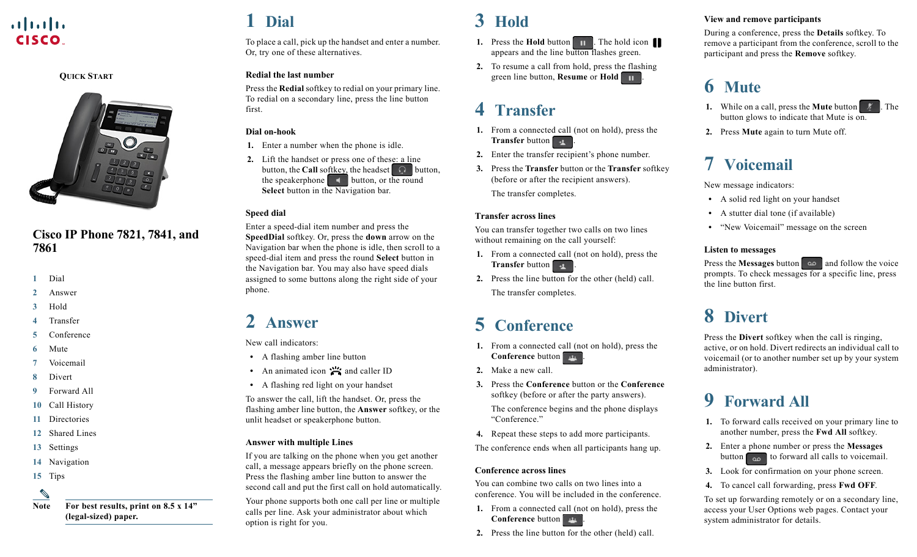### $\mathbf{d}$   $\mathbf{d}$ **CISCO**

#### **QUICK START**



### **Cisco IP Phone 7821, 7841, and 7861**

- **1** [Dial](#page-0-0)
- **2** [Answer](#page-0-5)
- **3** [Hold](#page-0-2)
- **4** [Transfer](#page-0-7)
- **5** [Conference](#page-0-3)
- **6** [Mute](#page-0-8)
- **7** [Voicemail](#page-0-1)
- **8** [Divert](#page-0-6)
- **9** [Forward All](#page-0-4)
- **10** [Call History](#page-1-3)
- **11** [Directories](#page-1-4)
- **12** [Shared Lines](#page-1-0)
- **13** [Settings](#page-1-2)
- **14** [Navigation](#page-1-5)
- **15** [Tips](#page-1-1)

**Note For best results, print on 8.5 x 14" (legal-sized) paper.**

# <span id="page-0-0"></span>**1 Dial**

To place a call, pick up the handset and enter a number. Or, try one of these alternatives.

#### **Redial the last number**

Press the **Redial** softkey to redial on your primary line. To redial on a secondary line, press the line button first.

#### **Dial on-hook**

- **1.** Enter a number when the phone is idle.
- **2.** Lift the handset or press one of these: a line button, the **Call** softkey, the headset  $\Omega$  button, the speakerphone button, or the round **Select** button in the Navigation bar.

#### **Speed dial**

Enter a speed-dial item number and press the **SpeedDial** softkey. Or, press the **down** arrow on the Navigation bar when the phone is idle, then scroll to a speed-dial item and press the round **Select** button in the Navigation bar. You may also have speed dials assigned to some buttons along the right side of your phone.

### <span id="page-0-5"></span>**2 Answer**

New call indicators:

- **•** A flashing amber line button
- An animated icon **in** and caller ID
- **•** A flashing red light on your handset

To answer the call, lift the handset. Or, press the flashing amber line button, the **Answer** softkey, or the unlit headset or speakerphone button.

#### **Answer with multiple Lines**

If you are talking on the phone when you get another call, a message appears briefly on the phone screen. Press the flashing amber line button to answer the second call and put the first call on hold automatically.

Your phone supports both one call per line or multiple calls per line. Ask your administrator about which option is right for you.

### <span id="page-0-2"></span>**3 Hold**

- **1.** Press the **Hold** button **11** . The hold icon appears and the line button flashes green.
- **2.** To resume a call from hold, press the flashing green line button, **Resume** or **Hold** .

### <span id="page-0-7"></span>**4 Transfer**

- **1.** From a connected call (not on hold), press the **Transfer** button  $\rightarrow$
- **2.** Enter the transfer recipient's phone number.
- **3.** Press the **Transfer** button or the **Transfer** softkey (before or after the recipient answers). The transfer completes.

#### **Transfer across lines**

You can transfer together two calls on two lines without remaining on the call yourself:

- **1.** From a connected call (not on hold), press the **Transfer** button
- **2.** Press the line button for the other (held) call. The transfer completes.

## <span id="page-0-3"></span>**5 Conference**

- **1.** From a connected call (not on hold), press the **Conference** button .
- **2.** Make a new call.
- **3.** Press the **Conference** button or the **Conference** softkey (before or after the party answers).

The conference begins and the phone displays "Conference."

**4.** Repeat these steps to add more participants. The conference ends when all participants hang up.

#### **Conference across lines**

You can combine two calls on two lines into a conference. You will be included in the conference.

- **1.** From a connected call (not on hold), press the **Conference** button .
- **2.** Press the line button for the other (held) call.

#### **View and remove participants**

During a conference, press the **Details** softkey. To remove a participant from the conference, scroll to the participant and press the **Remove** softkey.

## <span id="page-0-8"></span>**6 Mute**

- **1.** While on a call, press the **Mute** button **1.** The button glows to indicate that Mute is on.
- **2.** Press **Mute** again to turn Mute off.

# <span id="page-0-1"></span>**7 Voicemail**

New message indicators:

- **•** A solid red light on your handset
- **•** A stutter dial tone (if available)
- **•** "New Voicemail" message on the screen

#### **Listen to messages**

Press the **Messages** button and follow the voice prompts. To check messages for a specific line, press the line button first.

## <span id="page-0-6"></span>**8 Divert**

Press the **Divert** softkey when the call is ringing, active, or on hold. Divert redirects an individual call to voicemail (or to another number set up by your system administrator).

## <span id="page-0-4"></span>**9 Forward All**

- **1.** To forward calls received on your primary line to another number, press the **Fwd All** softkey.
- **2.** Enter a phone number or press the **Messages** button  $\begin{bmatrix} 1 & 1 \\ 0 & 0 \end{bmatrix}$  to forward all calls to voicemail.
- **3.** Look for confirmation on your phone screen.
- **4.** To cancel call forwarding, press **Fwd OFF**.

To set up forwarding remotely or on a secondary line, access your User Options web pages. Contact your system administrator for details.

<sup>⇖</sup>